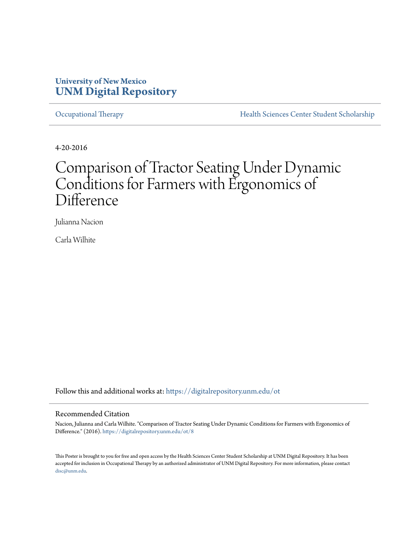#### **University of New Mexico [UNM Digital Repository](https://digitalrepository.unm.edu?utm_source=digitalrepository.unm.edu%2Fot%2F8&utm_medium=PDF&utm_campaign=PDFCoverPages)**

[Occupational Therapy](https://digitalrepository.unm.edu/ot?utm_source=digitalrepository.unm.edu%2Fot%2F8&utm_medium=PDF&utm_campaign=PDFCoverPages) **[Health Sciences Center Student Scholarship](https://digitalrepository.unm.edu/hsc-students?utm_source=digitalrepository.unm.edu%2Fot%2F8&utm_medium=PDF&utm_campaign=PDFCoverPages)** 

4-20-2016

#### Comparison of Tractor Seating Under Dynamic Conditions for Farmers with Ergonomics of Difference

Julianna Nacion

Carla Wilhite

Follow this and additional works at: [https://digitalrepository.unm.edu/ot](https://digitalrepository.unm.edu/ot?utm_source=digitalrepository.unm.edu%2Fot%2F8&utm_medium=PDF&utm_campaign=PDFCoverPages)

#### Recommended Citation

Nacion, Julianna and Carla Wilhite. "Comparison of Tractor Seating Under Dynamic Conditions for Farmers with Ergonomics of Difference." (2016). [https://digitalrepository.unm.edu/ot/8](https://digitalrepository.unm.edu/ot/8?utm_source=digitalrepository.unm.edu%2Fot%2F8&utm_medium=PDF&utm_campaign=PDFCoverPages)

This Poster is brought to you for free and open access by the Health Sciences Center Student Scholarship at UNM Digital Repository. It has been accepted for inclusion in Occupational Therapy by an authorized administrator of UNM Digital Repository. For more information, please contact [disc@unm.edu](mailto:disc@unm.edu).